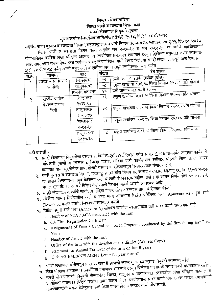# जिल्हा परिषद.गोंदिया जिल्हा पाणी व स्वच्छता मिशन कक्ष सनदी लेखापाल नियुक्ती सुचना

# सुचनाक्रमांक-जिप/जिपास्वमि/लेखा/ ७९२ /२०१८, दि. १८ /०८/२०१८

संदर्भ:- पाणी पुरवठा व स्वच्छता विभाग, महाराष्ट्र शासन यांचे निर्णय क्रं. जस्वप्र-०२/प्र.क्रंद३/पापु-११, दि.१९/६/२०१७. जिल्हा पाणी व स्वच्छता मिशन कक्षा अंतर्गत सन २०१६-१७ व सन २०१७-१८ या वर्षाचे खालीलप्रमाणे योजनानिहाय वार्षिक लेखा परिक्षण अहवाल व उपयोगिता प्रमाणपत्र शासनाने टरवून दिलेल्या नमुन्यात तयार करावयाचे

आहे. सदर काम करून देण्यास्तव नियंत्रक व महालेखापरिक्षक यांनी निवड केलेल्या सनदी लेखापालाकडून अर्ज दिनांक-

|        | $Z(10K)$ and the set of the set of the set of the set of the set of the set of the set of the set of $Z(10K)$ |                  | देय शुल्क                  |                                                        |
|--------|---------------------------------------------------------------------------------------------------------------|------------------|----------------------------|--------------------------------------------------------|
| अ.क्र. | योजना                                                                                                         | स्तर             | संख्या                     |                                                        |
| १      | स्वच्छ भारत मिशन                                                                                              | निल्हास्तर       | ०२                         | रुपये ५०००/- इतके एकत्रित (टोस)                        |
|        | (ग्रामीण)                                                                                                     | तालुकास्तर       | $\circ c$                  | - एकूण खर्चाच्या ०.०१ % किंवा किमान २५००/- प्रति योजना |
|        |                                                                                                               | ग्रामपंचायत स्तर | X٥                         | प्रती ग्रामपंचायत रूपये १०००/-                         |
| २      | राष्ट्रीय ग्रामीण                                                                                             | जिल्हास्तर       | ०१                         | एकूण खर्चाच्या ०.०१ % किंवा किमान २५००/- प्रति योजना   |
|        | पेयजल सहाय्य                                                                                                  | २०१६-१७          |                            |                                                        |
|        | निधी                                                                                                          | तालुकास्तर       | οL                         | एकूण खर्चाच्या ०.०१ % किंवा किमान २५००/- प्रति योजना   |
|        |                                                                                                               | २०१६-१७          |                            |                                                        |
|        |                                                                                                               | जिल्हास्तर       | $\mathcal{O}(\mathcal{E})$ | एकूण खर्चाच्या ०.०१ % किंवा किमान २५००/- प्रति योजना   |
|        |                                                                                                               | २०१७-१८          |                            |                                                        |
|        |                                                                                                               | तालुकास्तर       | $\circ c$                  |                                                        |
|        |                                                                                                               | २०१७-१८          |                            |                                                        |

#### अटी व शर्ती -

१. सनदी लेखापाल नियुक्तीचा प्रस्ताव हा दिनांक-2 $\zeta$  / 0 $\zeta$ /२०१८ पर्यंत सायं.- 2.00 वाजेपर्यंत उपमुख्य कार्यकारी अधिकारी (पाणी व स्वच्छता), जिल्हा परिषद गोंदिया यांचे कार्यालयात रजीस्टर पोस्टाने किंवा प्रत्यक्ष सादर करण्यात यावे. मुदतीनंतर प्राप्त होणारे प्रस्ताव कार्यालयाकडून स्विकारण्यात येणार नाहीत.

२. पाणी पुरवटा व स्वच्छता विभाग, महाराष्ट्र शासन यांचे निर्णय क्रं. जस्वप्र-०२/प्र.क्रं. ६३/पापु-११, दि. १९/०६/२०१७ या शासन निर्णयामध्ये नमुद केलेल्या अटी व शर्ती बंधनकारक राहील. तसेच या शासन निर्णयातील Annexure-१

मधील मुद्दा क्रं. १३ अन्वये विहित केलेप्रमाणे किमान अहर्ता असणे आवश्यक आहे.

३. सनदी लेखापाल व त्यांचे कार्यालय गोंदिया जिल्ह्यातील असल्यास प्राधान्य देण्यात येईल.

४. संदर्भिय शासन निर्णयातील अटी व शर्ती मान्य असल्यास विहित परिशिष्ट "अ" (Annexure-A) नमुना अर्ज

Download करून स्वतंत्र लिफाफ्यामध्येसादर करावे. ५. विहित नमुना अर्ज "अ" (Annexure-A) सोबबत खालील स्वसाक्षांकीत प्रती सादर करणे आवश्यक आहे.

- a. Number of FCA / ACA associated with the firm
	- b. CA Firm Registration Certificate
	- c. Assignments of State / Central sponsored Programs conducted by the firm during last Five Years
	- d. Number of Article with the firm
	- Office of the firm with the division or the district (Address Copy)
	- Statement for Annual Turnover of the firm on last 5 years
	- g. C & AG EMPANELMENT Letter for year 2016-17

- **६.** सनदी लेखापाल यांचेकडून प्राप्त प्रस्तावाची छाणणी करून गुणानुक्रमानुसार नियुक्ती करण्यात येईल. ७. लेखा परिक्षण अहवाल व उपयोगिता प्रमाणपत्र शासनाने ठरवून दिलेल्या प्रपत्रामध्ये तयार करणे बंधनकारक राहील.
- 
- **८.** सनदी लेखापालाची नियुक्ती केल्यानंतर जिल्हा, तालुका व ग्रामपंचायत स्तरावरील लेखा परिक्षण अहवाल व उपयोगिता प्रमाणपत्र विहित मुदतीत तयार करून जिल्हा कार्यालयास सादर करणे बंधनकारक राहील. त्याचप्रमाणे ग्रामपंचायतींची संख्या वेळेनुसार कमी किंवा जास्त होऊ शकतील याची नोंद घ्यावी.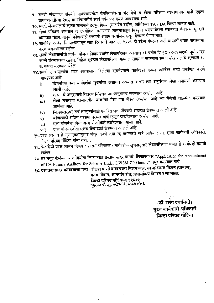- ९. सनदी लेखापाल संस्थेने ग्रामपंचायतीस वैयक्तिकरित्या भेट देणे व लेखा परिक्षण व्यवस्थापक यांनी एकूण ग्रामपंचायतीच्या २०% ग्रामपंचायतीचे स्वयं पर्यवेक्षण करणे आवश्यक आहे.
- १०. सनदी लेखापालाचे शुल्क शासनाने ठरवून दिल्यानुसार देय राहील, अतिरिक्त TA / DA दिल्या जाणार नाही.
- ११. लेखा परिक्षण अहवाल व उपयोगिता प्रमाणपत्र शासनाकडून स्विकृत केल्यानंतरच त्याबाबत देयकाचे भुगदान करण्यात येईल. यापुर्वी कोणत्याही प्रकारचे अग्रीम कार्यालयाकडून देण्यात येणार नाही.
- १२. कार्यादेश आदेश मिळाल्यापासून सात दिवसाचे आत रू. ५००/- चे स्टॅम्प पेपरवर अटी व शर्ती बाबत करारनामा करणे बंधनकारक राहील.
- १३. सनदी लेखापालांची प्रत्येक योजना निहाय स्वतंत्र लेखापरिक्षण अहवाल ०३ प्रतीत दि. १२ / ०९/२०१८ पूर्वी सादर करणे बंधनकारक राहील. विहित मुदतीत लेखापरिक्षण अहवाल सादर न करण्यास सनदी लेखापालांचे शुल्कात १० % कपात करण्यात येईल.
- १४.सनदी लेखापालांना सदर अहवालात दिलेल्या सुचनेप्रमाणे कार्यवाही करून खालील बाबी प्रमाणित करणे आवश्यक आहे.
	- योजनांच्या सर्व मार्गदर्शक सुचनांचा अद्यावत अभ्यास करून त्या अनुषंगाने लेखा तपासणी करण्यात  $i)$ आली आहे.
	- शासनाचे अनुदानाचे वितरण निश्चित प्रमाणानुसारच करण्यात आलेला आहे.  $\mathbf{ii}$
	- लेखा तपासणी कालावधीत योजनेचा पैसा ज्या बँकेत ठेवलेला आहे त्या बँकेशी ताळमेळ करण्यात iii) आलेला आहे.
	- जिल्हास्तरावर सर्व तालुक्यांसाठी एकत्रित भत्ता नोंदवही अद्यावत ठेवण्यात आली आहे.  $iv)$
	- कोणत्याही अग्रिम रक्कमा परस्पर खर्च म्हणून दाखविण्यात आलेला नाही.  $\mathbf{v}$
	- एका योजनेचा निधी अन्य योजनेकडे वळविण्यात आला नाही. vi)
	- एका योजनेकरीता एकच बँक खाते ठेवण्यात आलेले आहे. vii)
- १५.प्राप्त प्रस्ताव हे गुणानुक्रमानुसार मंजूर करणे तथा रद्द करण्याचे सर्व अधिकार मा. मुख्य कार्यकारी अधिकारी, जिल्हा परिषद गोंदिया यांना राहील.
- १६. वेळोवेळी प्राप्त शासन निर्णय / शासन परिपत्रक / मार्गदर्शक सुचनानुसार लेखापरिक्षणा बाबतची कार्यवाही करावी लागेल.
- १७.वर नमूद केलेल्या योजनेकरीता लिफाफ्यात प्रस्ताव सादर करावे. लिफाफ्यावर "Application for Appointment of CA Firms / Auditors for Scheme Under DWSM ZP Gondia" नमुद करण्यात यावे.
- १८. दरपत्रक सादर करावयाचा पत्ता जिल्हा पाणी व स्वच्छता मिशन कक्ष, स्वच्छ भारत मिशन (ग्रामीण),

पतंगा मैदान, आमगांव रोड, प्रशासकिय ईमारत १ ला माळा.

जिल्हा परिषद गोंदिया-४४१६०१<br>न्दुट्रध्बनी कु.०७१८२, २३४०५६

(डॉ. राजा दयानिधी) मुख्य कार्यकारी अधिकारी<br>जिल्हा परिषद गोंदिया